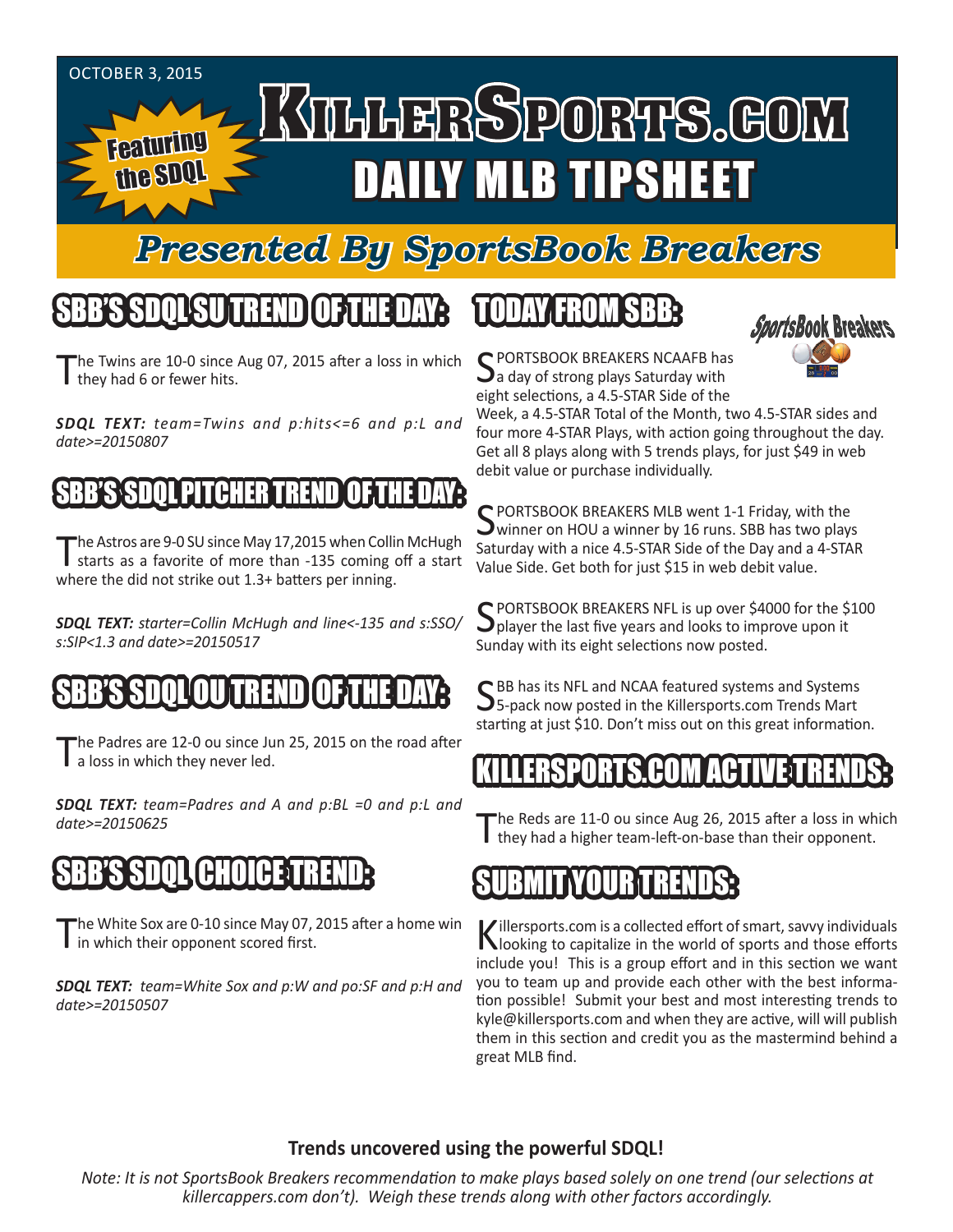#### OCTOBER 3, 2015 KILLERSPORTS.GOM Featuring DAILY MLB TIPSHEET the SDQL

#### *Presented By SportsBook Breakers*

## SBB'S SDQLSU TREND OF THE DAY:

he Twins are 10-0 since Aug 07, 2015 after a loss in which I they had 6 or fewer hits.

*SDQL TEXT: team=Twins and p:hits<=6 and p:L and date>=20150807*

#### BB'S SDOL PITCHER

The Astros are 9-0 SU since May 17,2015 when Collin McHugh starts as a favorite of more than -135 coming off a start where the did not strike out 1.3+ batters per inning.

*SDQL TEXT: starter=Collin McHugh and line<-135 and s:SSO/ s:SIP<1.3 and date>=20150517* 

#### SBB'S SDQLOU TREND OF THE DAY:

The Padres are 12-0 ou since Jun 25, 2015 on the road after a loss in which they never led.

*SDQL TEXT: team=Padres and A and p:BL =0 and p:L and date>=20150625*

## SBB'S SDQL CHOICE TREND:

'he White Sox are 0-10 since May 07, 2015 after a home win I in which their opponent scored first.

*SDQL TEXT: team=White Sox and p:W and po:SF and p:H and date>=20150507*

#### TODAY FROM SBB:



C PORTSBOOK BREAKERS NCAAFB has  $\mathbf{\mathcal{J}}$ a day of strong plays Saturday with eight selections, a 4.5-STAR Side of the

Week, a 4.5-STAR Total of the Month, two 4.5-STAR sides and four more 4-STAR Plays, with action going throughout the day. Get all 8 plays along with 5 trends plays, for just \$49 in web debit value or purchase individually.

SPORTSBOOK BREAKERS MLB went 1-1 Friday, with the<br>winner on HOU a winner by 16 runs. SBB has two plays Saturday with a nice 4.5-STAR Side of the Day and a 4-STAR Value Side. Get both for just \$15 in web debit value.

SPORTSBOOK BREAKERS NFL is up over \$4000 for the \$100  $\mathbf{J}$  player the last five years and looks to improve upon it Sunday with its eight selections now posted.

C BB has its NFL and NCAA featured systems and Systems 5-pack now posted in the Killersports.com Trends Mart starting at just \$10. Don't miss out on this great information.

#### KILLERSPORTS.COM ACTIVE TRENDS:

he Reds are 11-0 ou since Aug 26, 2015 after a loss in which I they had a higher team-left-on-base than their opponent.



Killersports.com is a collected effort of smart, savvy individuals looking to capitalize in the world of sports and those efforts include you! This is a group effort and in this section we want you to team up and provide each other with the best information possible! Submit your best and most interesting trends to kyle@killersports.com and when they are active, will will publish them in this section and credit you as the mastermind behind a great MLB find.

#### **Trends uncovered using the powerful SDQL!**

*Note: It is not SportsBook Breakers recommendation to make plays based solely on one trend (our selections at killercappers.com don't). Weigh these trends along with other factors accordingly.*